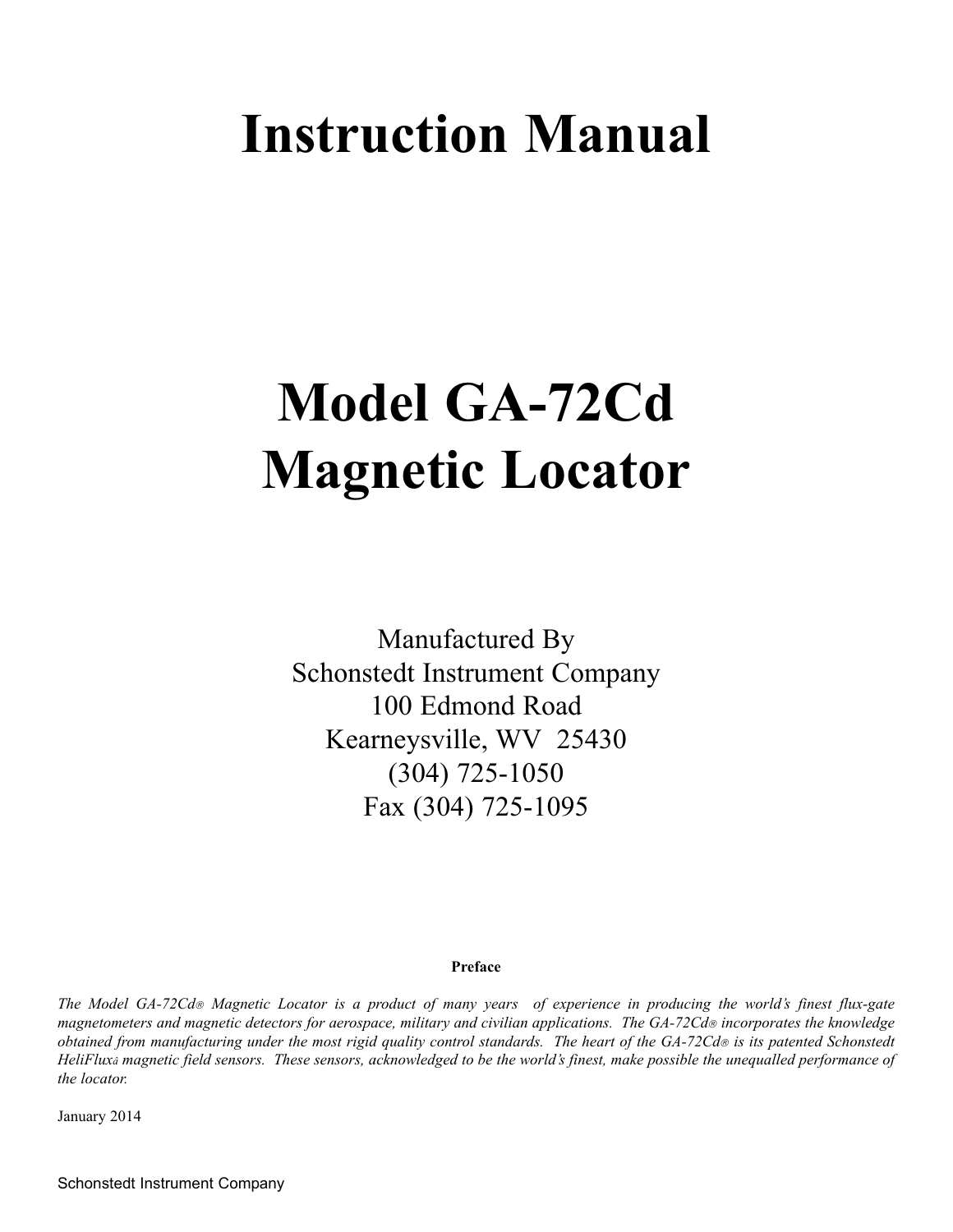# **Instruction Manual**

# **Model GA-72Cd Magnetic Locator**

Manufactured By Schonstedt Instrument Company 100 Edmond Road Kearneysville, WV 25430 (304) 725-1050 Fax (304) 725-1095

#### **Preface**

*The Model GA-72Cd*® *Magnetic Locator is a product of many years of experience in producing the world's finest flux-gate magnetometers and magnetic detectors for aerospace, military and civilian applications. The GA-72Cd*® *incorporates the knowledge obtained from manufacturing under the most rigid quality control standards. The heart of the GA-72Cd*® *is its patented Schonstedt HeliFluxâ magnetic field sensors. These sensors, acknowledged to be the world's finest, make possible the unequalled performance of the locator.*

January 2014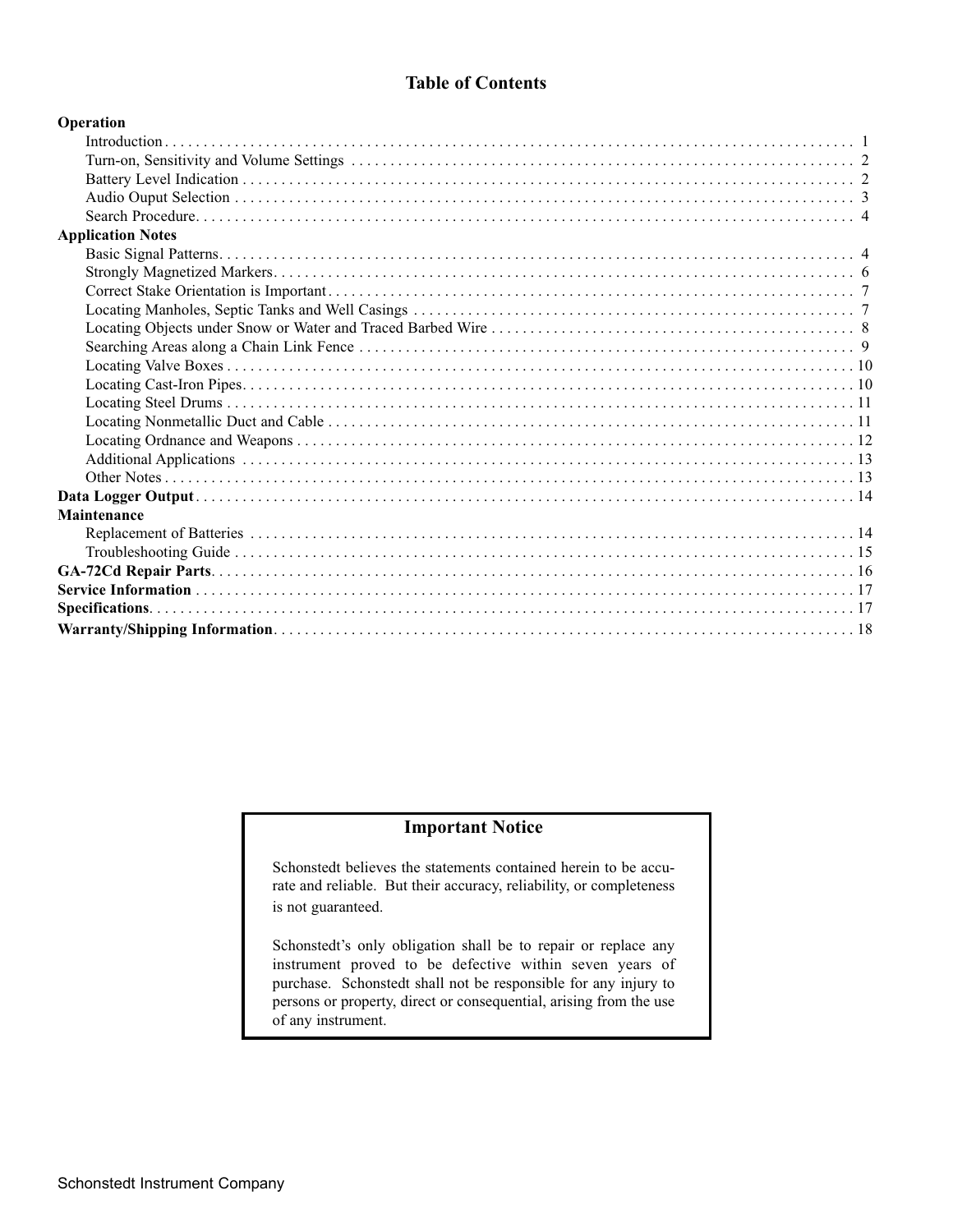# **Table of Contents**

| Operation                |  |  |
|--------------------------|--|--|
|                          |  |  |
|                          |  |  |
|                          |  |  |
|                          |  |  |
|                          |  |  |
| <b>Application Notes</b> |  |  |
|                          |  |  |
|                          |  |  |
|                          |  |  |
|                          |  |  |
|                          |  |  |
|                          |  |  |
|                          |  |  |
|                          |  |  |
|                          |  |  |
|                          |  |  |
|                          |  |  |
|                          |  |  |
|                          |  |  |
|                          |  |  |
| Maintenance              |  |  |
|                          |  |  |
|                          |  |  |
|                          |  |  |
|                          |  |  |
|                          |  |  |
|                          |  |  |

#### **Important Notice**

Schonstedt believes the statements contained herein to be accurate and reliable. But their accuracy, reliability, or completeness is not guaranteed.

Schonstedt's only obligation shall be to repair or replace any instrument proved to be defective within seven years of purchase. Schonstedt shall not be responsible for any injury to persons or property, direct or consequential, arising from the use of any instrument.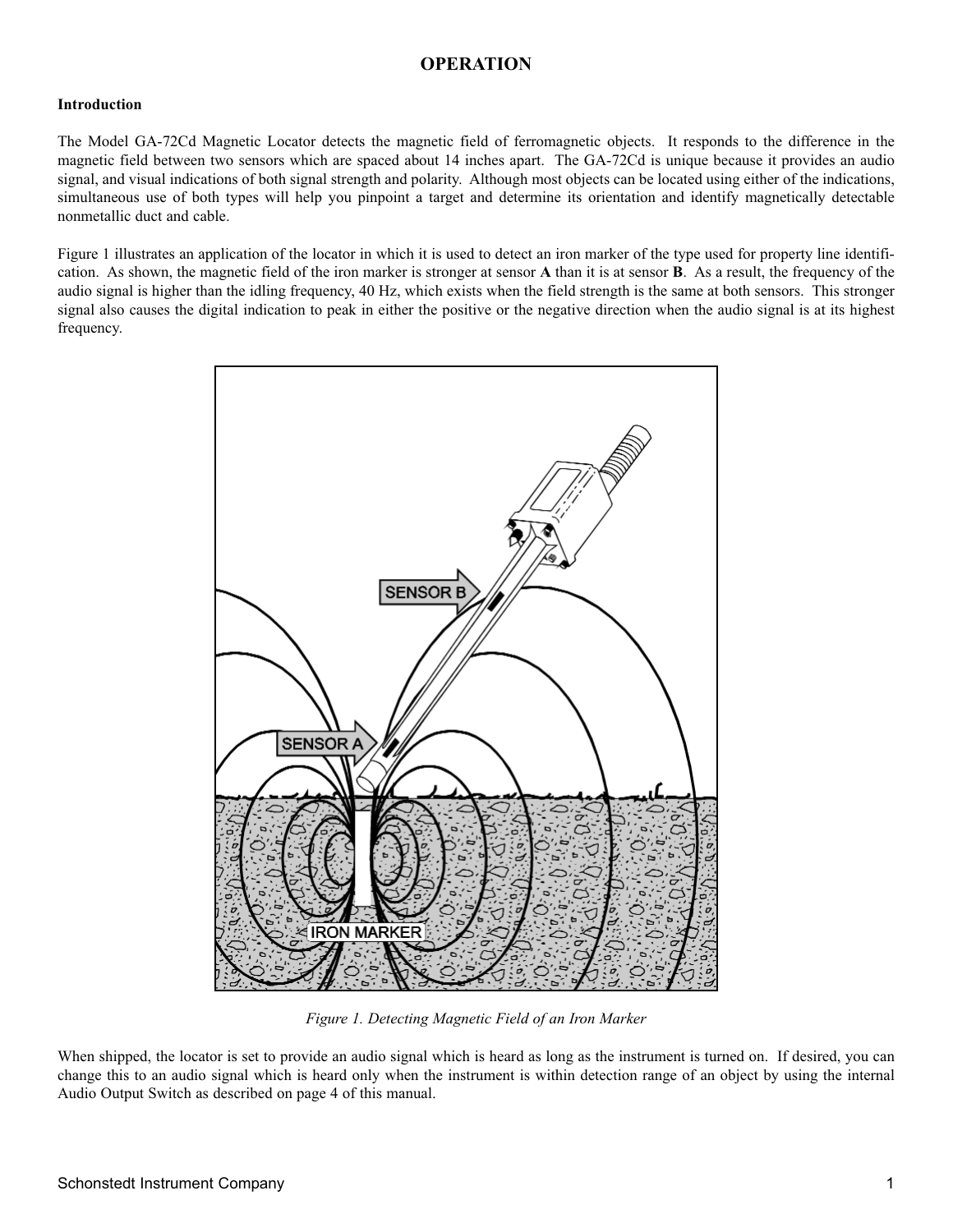# **OPERATION**

#### **Introduction**

The Model GA-72Cd Magnetic Locator detects the magnetic field of ferromagnetic objects. It responds to the difference in the magnetic field between two sensors which are spaced about 14 inches apart. The GA-72Cd is unique because it provides an audio signal, and visual indications of both signal strength and polarity. Although most objects can be located using either of the indications, simultaneous use of both types will help you pinpoint a target and determine its orientation and identify magnetically detectable nonmetallic duct and cable.

Figure 1 illustrates an application of the locator in which it is used to detect an iron marker of the type used for property line identification. As shown, the magnetic field of the iron marker is stronger at sensor **A** than it is at sensor **B**. As a result, the frequency of the audio signal is higher than the idling frequency, 40 Hz, which exists when the field strength is the same at both sensors. This stronger signal also causes the digital indication to peak in either the positive or the negative direction when the audio signal is at its highest frequency.



*Figure 1. Detecting Magnetic Field of an Iron Marker*

When shipped, the locator is set to provide an audio signal which is heard as long as the instrument is turned on. If desired, you can change this to an audio signal which is heard only when the instrument is within detection range of an object by using the internal Audio Output Switch as described on page 4 of this manual.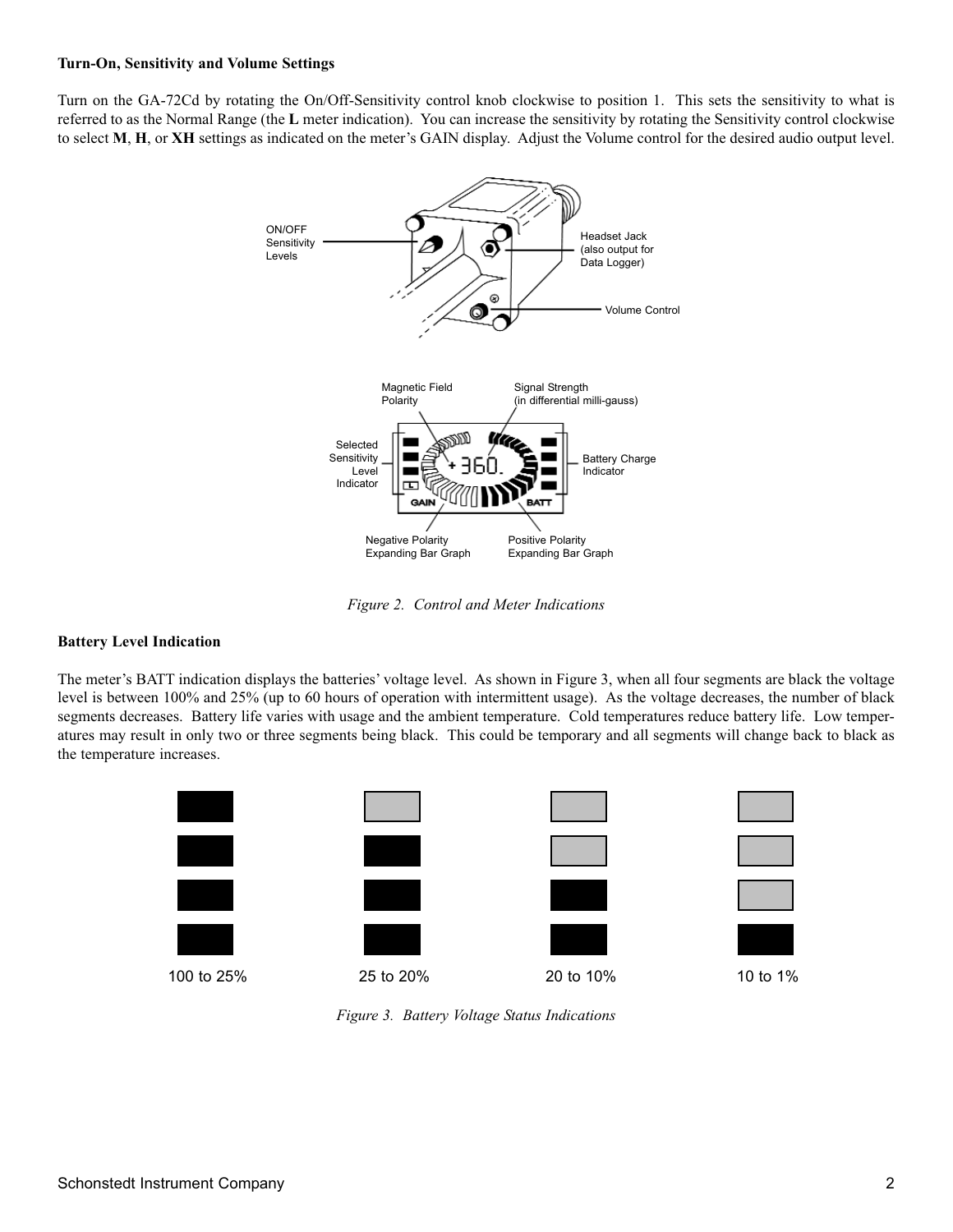#### **Turn-On, Sensitivity and Volume Settings**

Turn on the GA-72Cd by rotating the On/Off-Sensitivity control knob clockwise to position 1. This sets the sensitivity to what is referred to as the Normal Range (the **L** meter indication). You can increase the sensitivity by rotating the Sensitivity control clockwise to select **M**, **H**, or **XH** settings as indicated on the meter's GAIN display. Adjust the Volume control for the desired audio output level.



*Figure 2. Control and Meter Indications*

#### **Battery Level Indication**

The meter's BATT indication displays the batteries' voltage level. As shown in Figure 3, when all four segments are black the voltage level is between 100% and 25% (up to 60 hours of operation with intermittent usage). As the voltage decreases, the number of black segments decreases. Battery life varies with usage and the ambient temperature. Cold temperatures reduce battery life. Low temperatures may result in only two or three segments being black. This could be temporary and all segments will change back to black as the temperature increases.



*Figure 3. Battery Voltage Status Indications*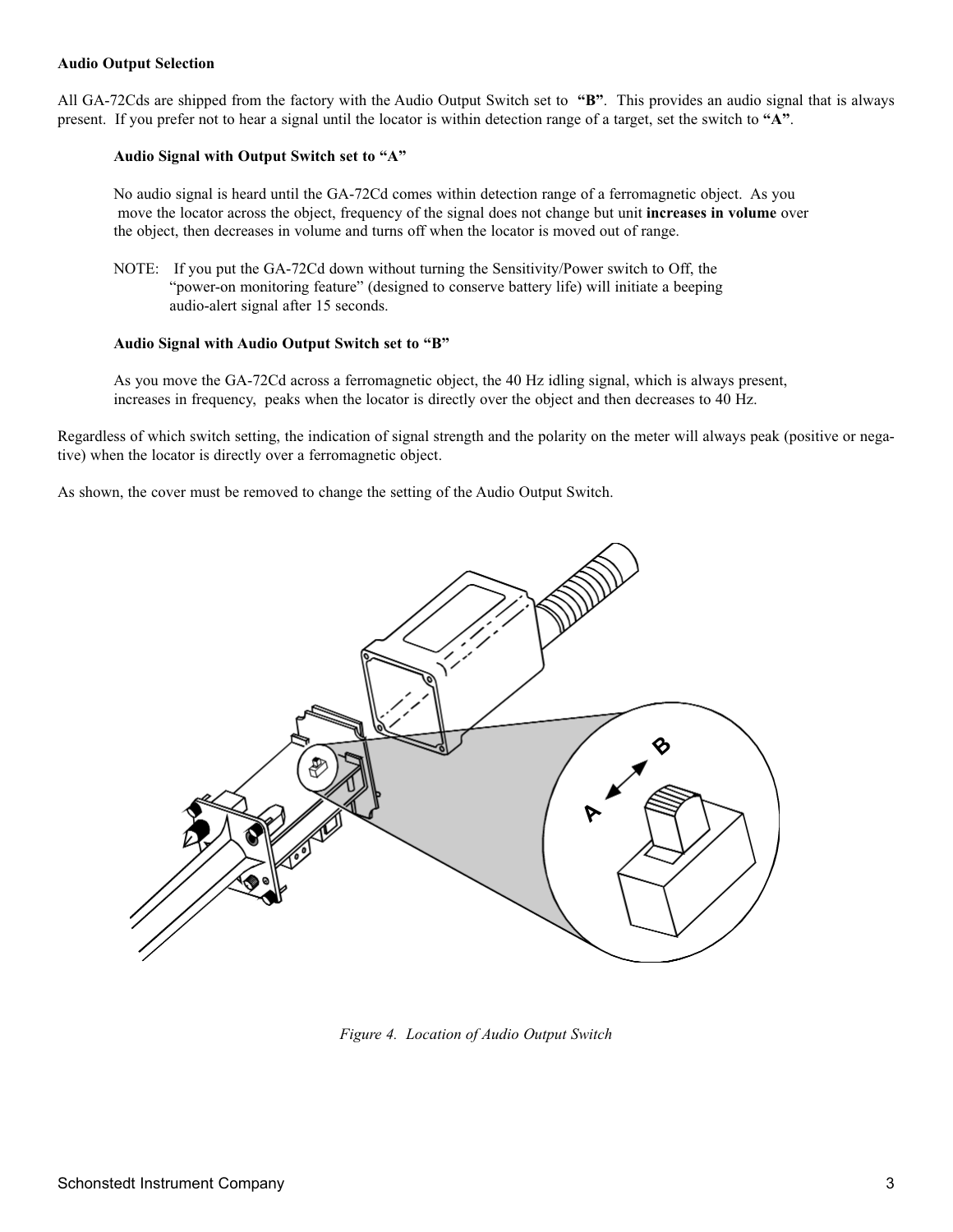#### **Audio Output Selection**

All GA-72Cds are shipped from the factory with the Audio Output Switch set to **"B"**. This provides an audio signal that is always present. If you prefer not to hear a signal until the locator is within detection range of a target, set the switch to **"A"**.

#### **Audio Signal with Output Switch set to "A"**

No audio signal is heard until the GA-72Cd comes within detection range of a ferromagnetic object. As you move the locator across the object, frequency of the signal does not change but unit **increases in volume** over the object, then decreases in volume and turns off when the locator is moved out of range.

NOTE: If you put the GA-72Cd down without turning the Sensitivity/Power switch to Off, the "power-on monitoring feature" (designed to conserve battery life) will initiate a beeping audio-alert signal after 15 seconds.

#### **Audio Signal with Audio Output Switch set to "B"**

As you move the GA-72Cd across a ferromagnetic object, the 40 Hz idling signal, which is always present, increases in frequency, peaks when the locator is directly over the object and then decreases to 40 Hz.

Regardless of which switch setting, the indication of signal strength and the polarity on the meter will always peak (positive or negative) when the locator is directly over a ferromagnetic object.

As shown, the cover must be removed to change the setting of the Audio Output Switch.



*Figure 4. Location of Audio Output Switch*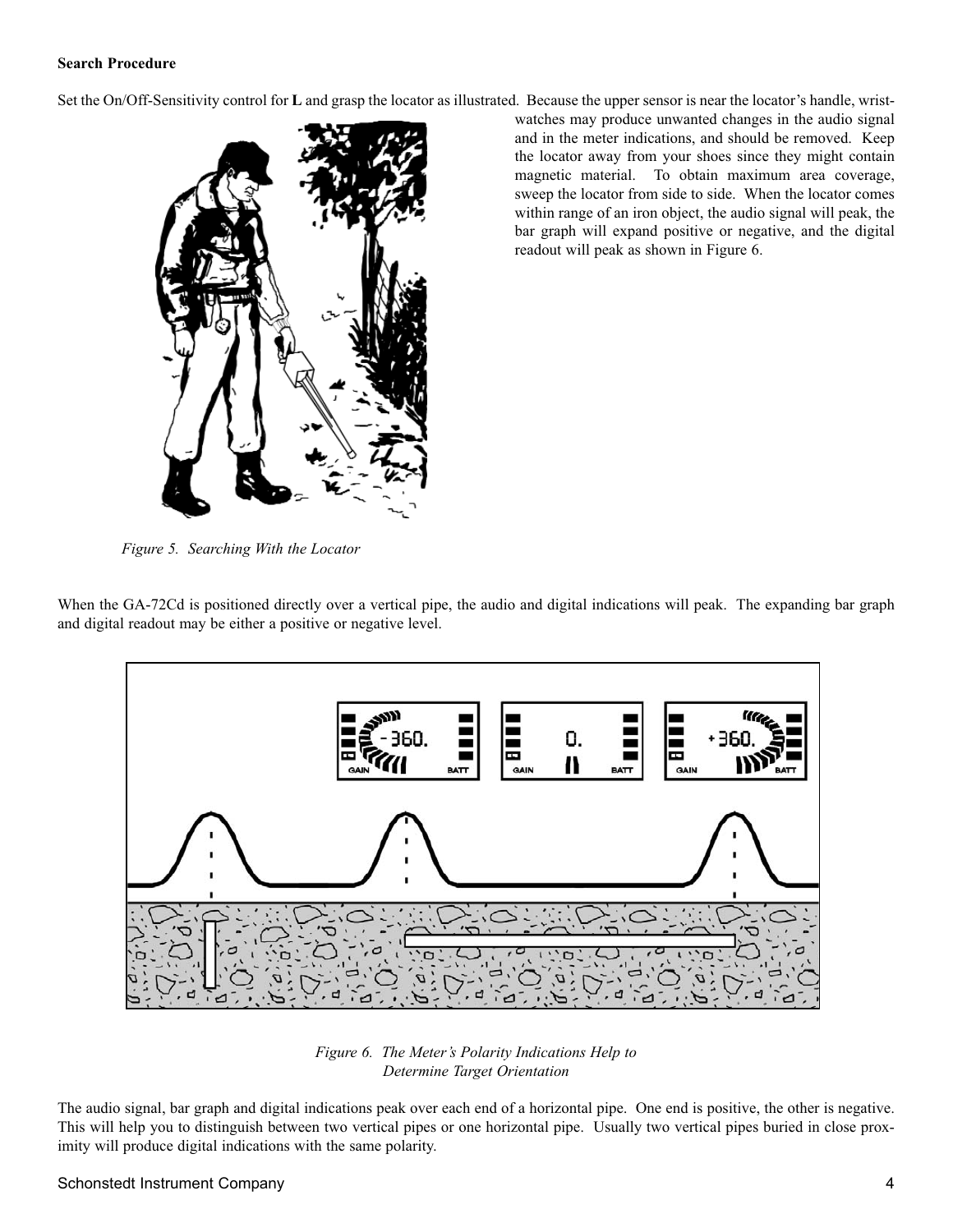#### **Search Procedure**

Set the On/Off-Sensitivity control for **L** and grasp the locator as illustrated. Because the upper sensor is near the locator's handle, wrist-



watches may produce unwanted changes in the audio signal and in the meter indications, and should be removed. Keep the locator away from your shoes since they might contain magnetic material. To obtain maximum area coverage, sweep the locator from side to side. When the locator comes within range of an iron object, the audio signal will peak, the bar graph will expand positive or negative, and the digital readout will peak as shown in Figure 6.

*Figure 5. Searching With the Locator*

When the GA-72Cd is positioned directly over a vertical pipe, the audio and digital indications will peak. The expanding bar graph and digital readout may be either a positive or negative level.



*Figure 6. The Meter's Polarity Indications Help to Determine Target Orientation*

The audio signal, bar graph and digital indications peak over each end of a horizontal pipe. One end is positive, the other is negative. This will help you to distinguish between two vertical pipes or one horizontal pipe. Usually two vertical pipes buried in close proximity will produce digital indications with the same polarity.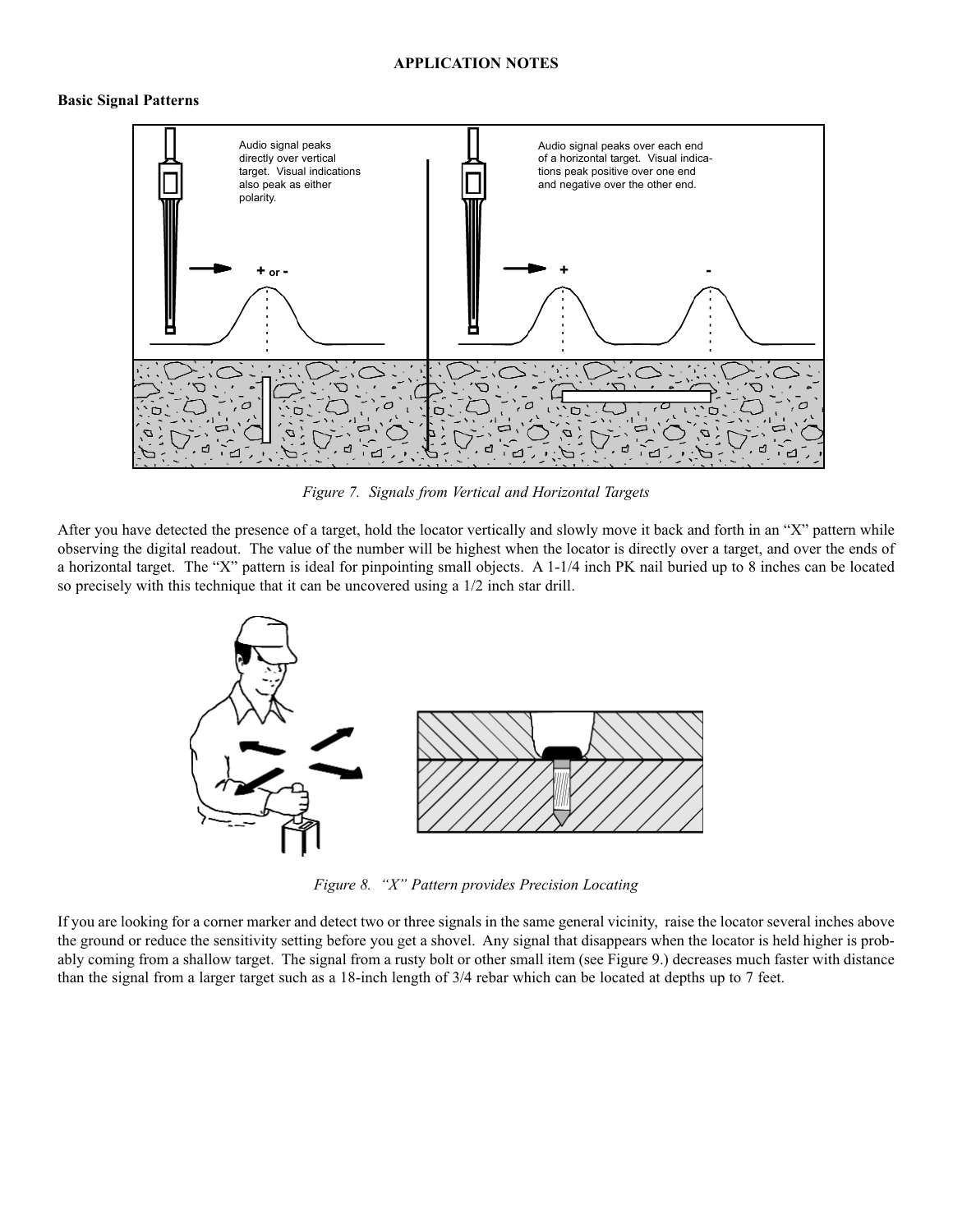#### **APPLICATION NOTES**

#### **Basic Signal Patterns**



*Figure 7. Signals from Vertical and Horizontal Targets*

After you have detected the presence of a target, hold the locator vertically and slowly move it back and forth in an "X" pattern while observing the digital readout. The value of the number will be highest when the locator is directly over a target, and over the ends of a horizontal target. The "X" pattern is ideal for pinpointing small objects. A 1-1/4 inch PK nail buried up to 8 inches can be located so precisely with this technique that it can be uncovered using a 1/2 inch star drill.



*Figure 8. "X" Pattern provides Precision Locating*

If you are looking for a corner marker and detect two or three signals in the same general vicinity, raise the locator several inches above the ground or reduce the sensitivity setting before you get a shovel. Any signal that disappears when the locator is held higher is probably coming from a shallow target. The signal from a rusty bolt or other small item (see Figure 9.) decreases much faster with distance than the signal from a larger target such as a 18-inch length of 3/4 rebar which can be located at depths up to 7 feet.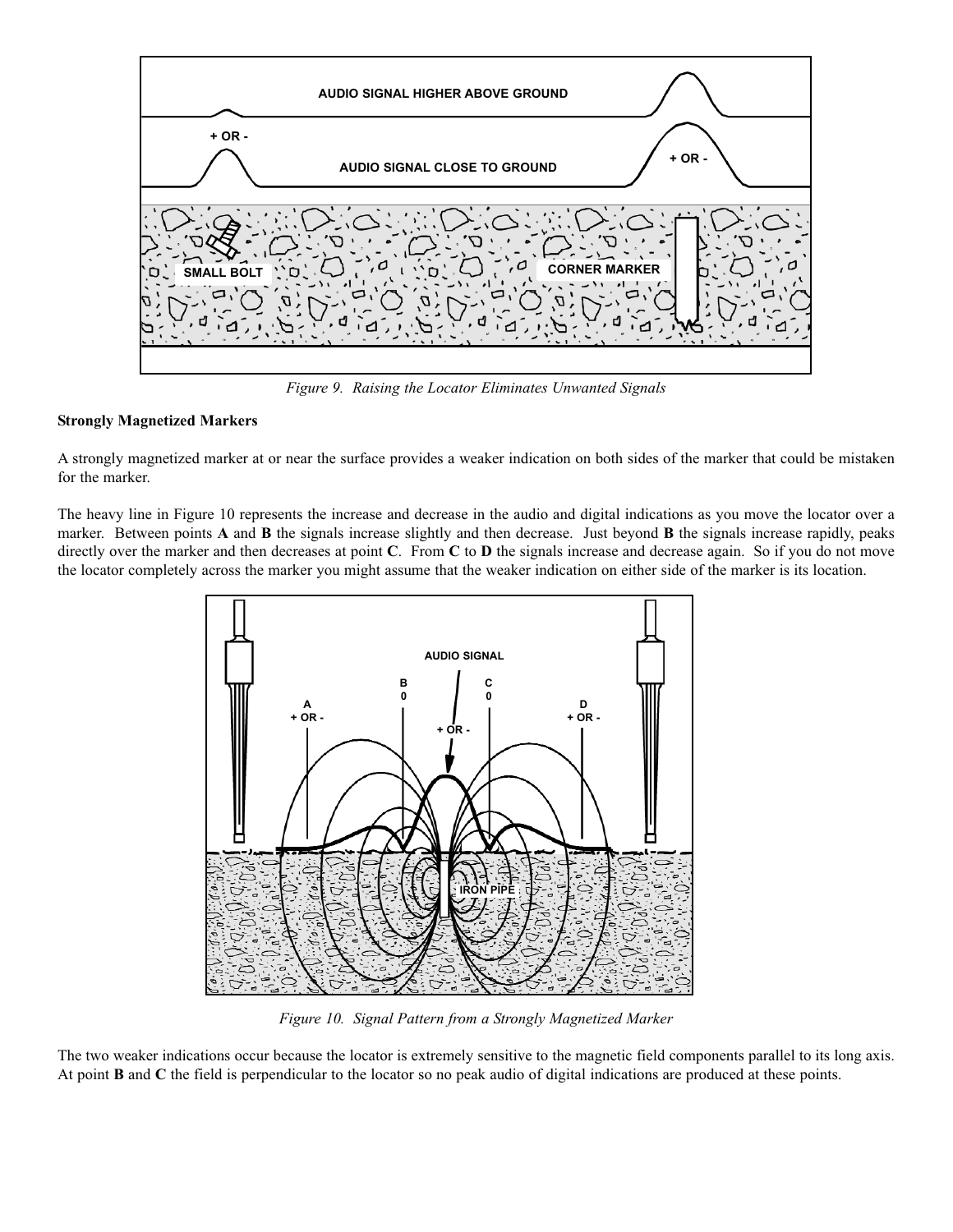

*Figure 9. Raising the Locator Eliminates Unwanted Signals*

#### **Strongly Magnetized Markers**

A strongly magnetized marker at or near the surface provides a weaker indication on both sides of the marker that could be mistaken for the marker.

The heavy line in Figure 10 represents the increase and decrease in the audio and digital indications as you move the locator over a marker. Between points **A** and **B** the signals increase slightly and then decrease. Just beyond **B** the signals increase rapidly, peaks directly over the marker and then decreases at point **C**. From **C** to **D** the signals increase and decrease again. So if you do not move the locator completely across the marker you might assume that the weaker indication on either side of the marker is its location.



*Figure 10. Signal Pattern from a Strongly Magnetized Marker*

The two weaker indications occur because the locator is extremely sensitive to the magnetic field components parallel to its long axis. At point **B** and **C** the field is perpendicular to the locator so no peak audio of digital indications are produced at these points.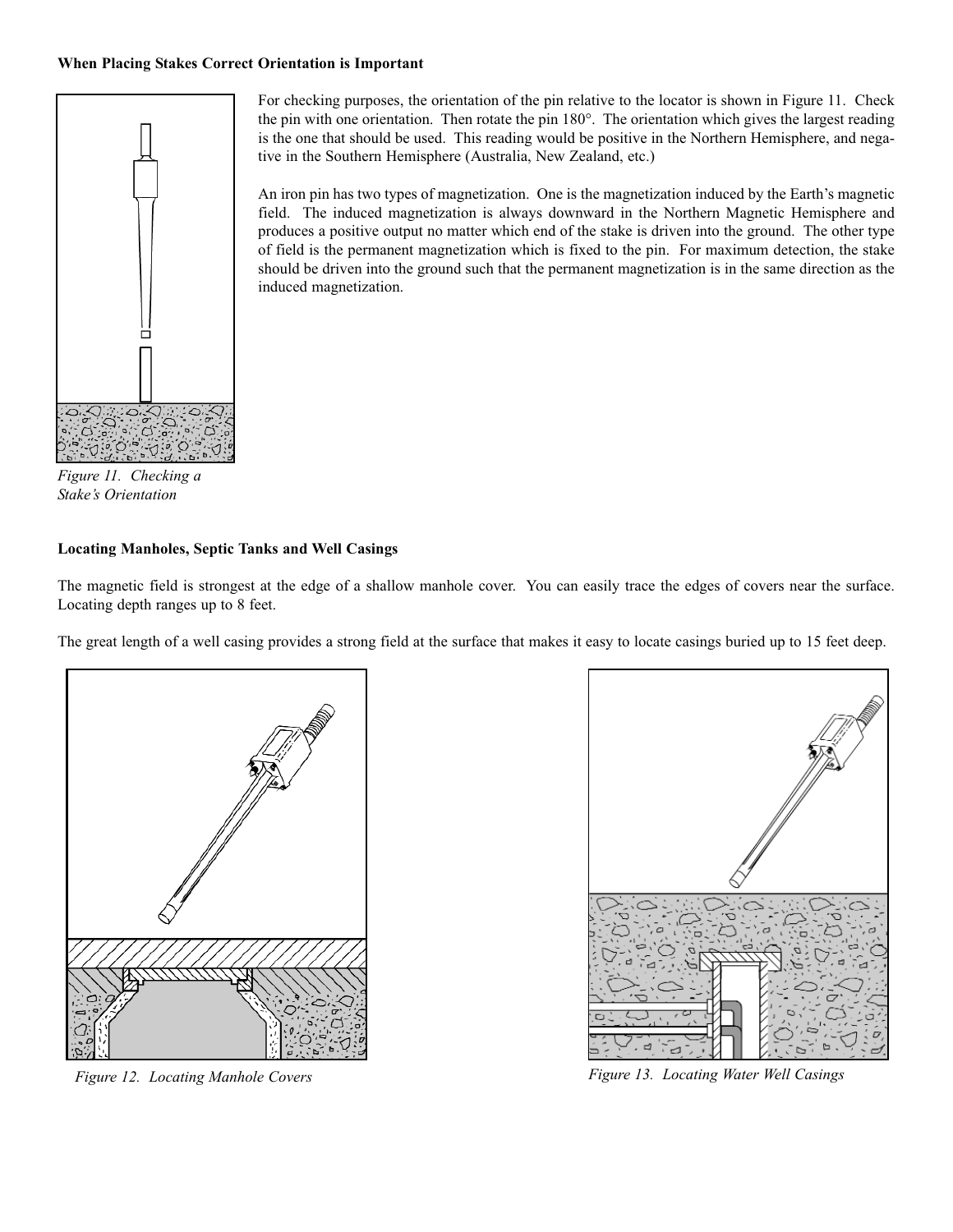#### **When Placing Stakes Correct Orientation is Important**



*Figure 11. Checking a Stake's Orientation*

#### **Locating Manholes, Septic Tanks and Well Casings**

The magnetic field is strongest at the edge of a shallow manhole cover. You can easily trace the edges of covers near the surface. Locating depth ranges up to 8 feet.

The great length of a well casing provides a strong field at the surface that makes it easy to locate casings buried up to 15 feet deep.





*Figure 12. Locating Manhole Covers Figure 13. Locating Water Well Casings*

For checking purposes, the orientation of the pin relative to the locator is shown in Figure 11. Check the pin with one orientation. Then rotate the pin 180°. The orientation which gives the largest reading is the one that should be used. This reading would be positive in the Northern Hemisphere, and negative in the Southern Hemisphere (Australia, New Zealand, etc.)

An iron pin has two types of magnetization. One is the magnetization induced by the Earth's magnetic field. The induced magnetization is always downward in the Northern Magnetic Hemisphere and produces a positive output no matter which end of the stake is driven into the ground. The other type of field is the permanent magnetization which is fixed to the pin. For maximum detection, the stake should be driven into the ground such that the permanent magnetization is in the same direction as the induced magnetization.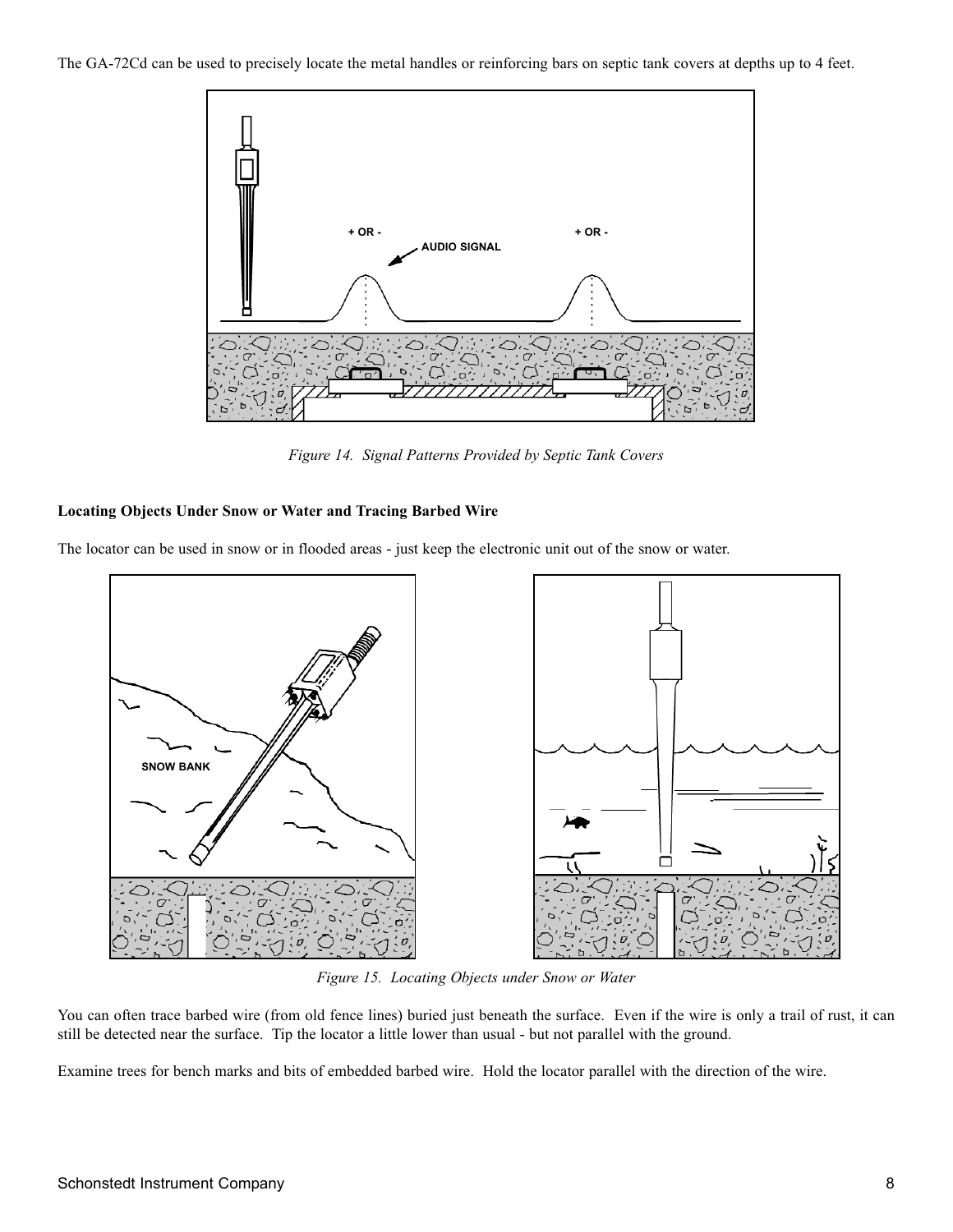The GA-72Cd can be used to precisely locate the metal handles or reinforcing bars on septic tank covers at depths up to 4 feet.



*Figure 14. Signal Patterns Provided by Septic Tank Covers*

#### **Locating Objects Under Snow or Water and Tracing Barbed Wire**

The locator can be used in snow or in flooded areas - just keep the electronic unit out of the snow or water.



*Figure 15. Locating Objects under Snow or Water*

You can often trace barbed wire (from old fence lines) buried just beneath the surface. Even if the wire is only a trail of rust, it can still be detected near the surface. Tip the locator a little lower than usual - but not parallel with the ground.

Examine trees for bench marks and bits of embedded barbed wire. Hold the locator parallel with the direction of the wire.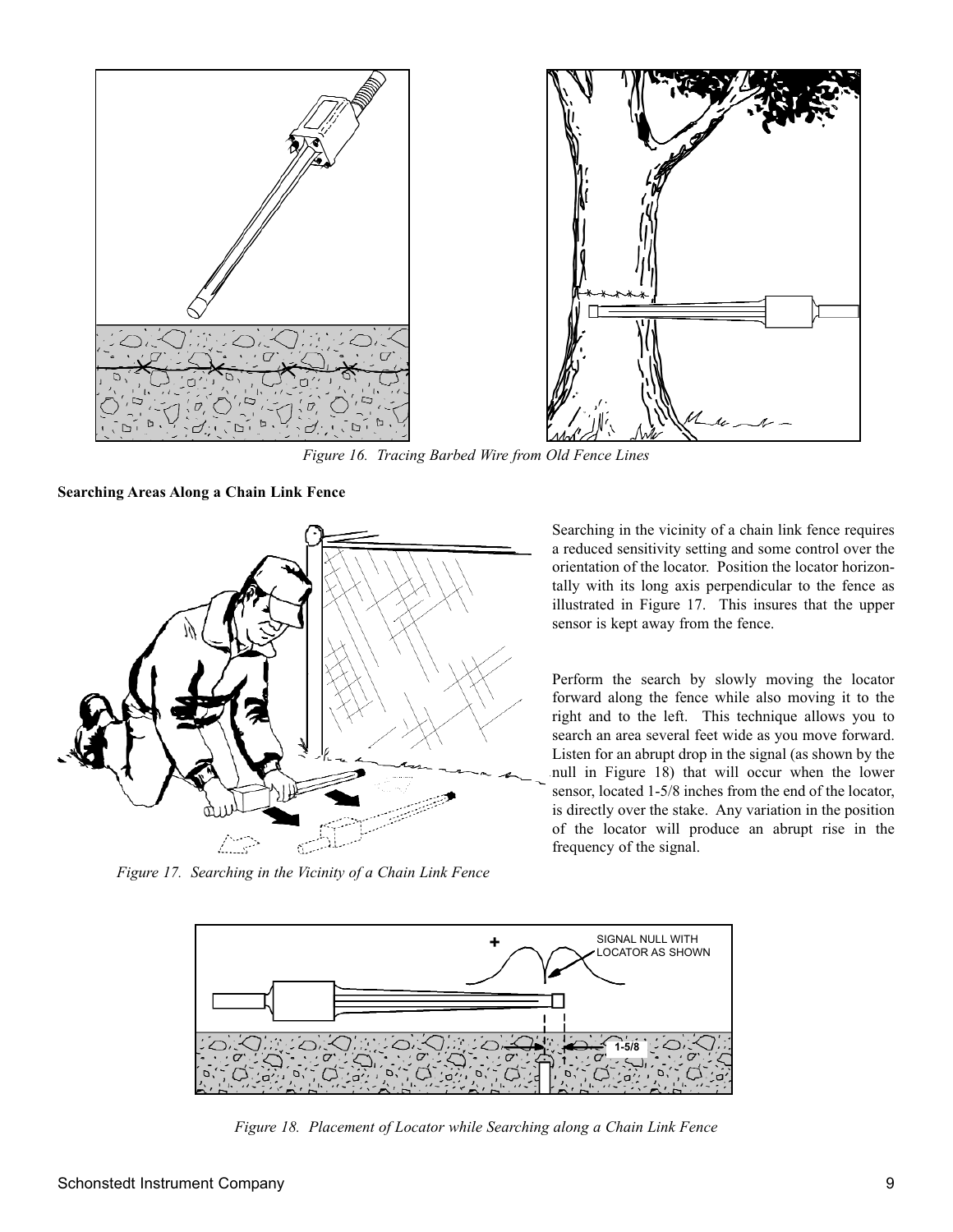

*Figure 16. Tracing Barbed Wire from Old Fence Lines*

**Searching Areas Along a Chain Link Fence**



*Figure 17. Searching in the Vicinity of a Chain Link Fence*

Searching in the vicinity of a chain link fence requires a reduced sensitivity setting and some control over the orientation of the locator. Position the locator horizontally with its long axis perpendicular to the fence as illustrated in Figure 17. This insures that the upper sensor is kept away from the fence.

Perform the search by slowly moving the locator forward along the fence while also moving it to the right and to the left. This technique allows you to search an area several feet wide as you move forward. Listen for an abrupt drop in the signal (as shown by the null in Figure 18) that will occur when the lower sensor, located 1-5/8 inches from the end of the locator, is directly over the stake. Any variation in the position of the locator will produce an abrupt rise in the frequency of the signal.



*Figure 18. Placement of Locator while Searching along a Chain Link Fence*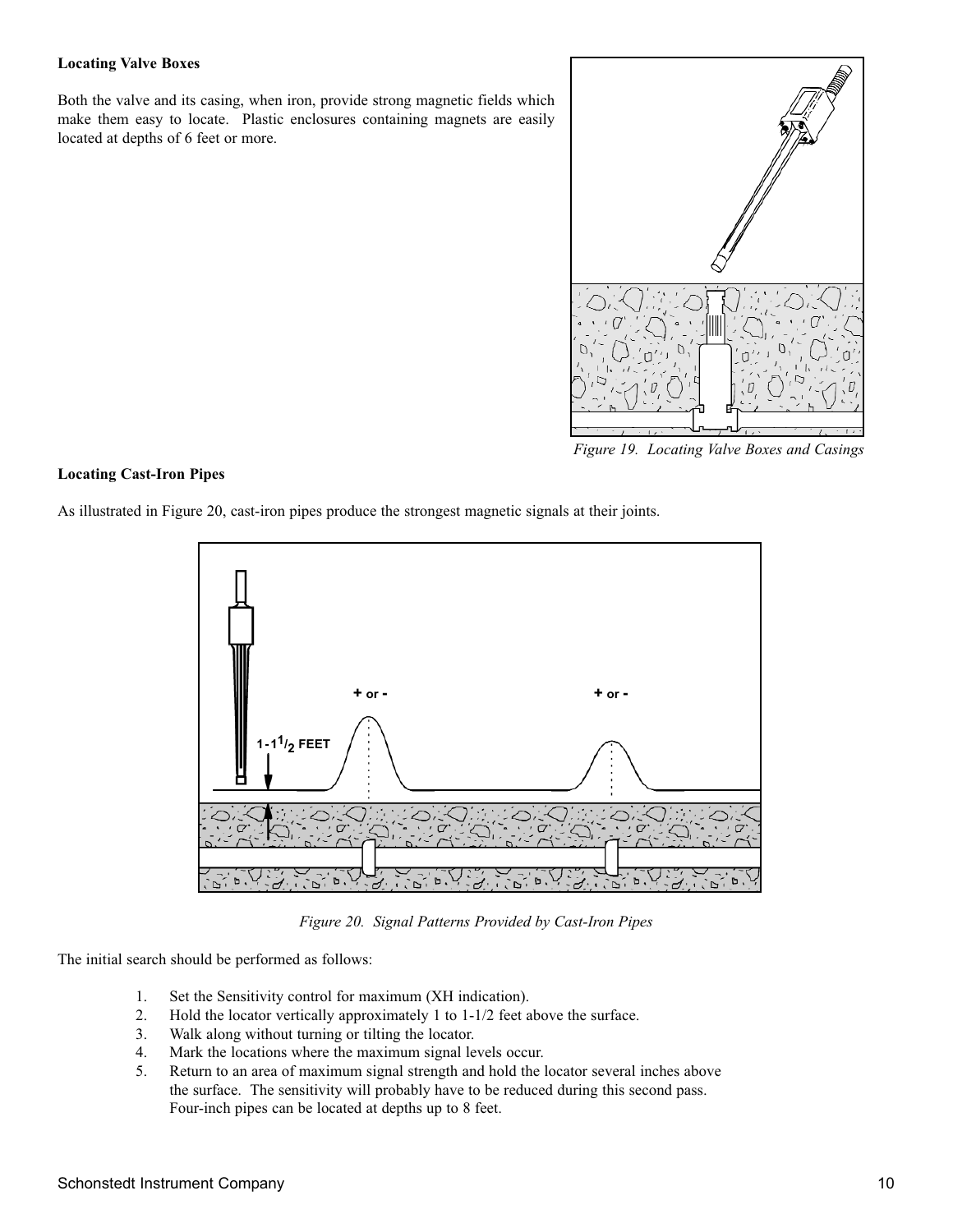#### **Locating Valve Boxes**

Both the valve and its casing, when iron, provide strong magnetic fields which make them easy to locate. Plastic enclosures containing magnets are easily located at depths of 6 feet or more.



*Figure 19. Locating Valve Boxes and Casings*

#### **Locating Cast-Iron Pipes**

As illustrated in Figure 20, cast-iron pipes produce the strongest magnetic signals at their joints.



*Figure 20. Signal Patterns Provided by Cast-Iron Pipes*

The initial search should be performed as follows:

- 1. Set the Sensitivity control for maximum (XH indication).
- 2. Hold the locator vertically approximately 1 to 1-1/2 feet above the surface.
- 3. Walk along without turning or tilting the locator.
- 4. Mark the locations where the maximum signal levels occur.
- 5. Return to an area of maximum signal strength and hold the locator several inches above the surface. The sensitivity will probably have to be reduced during this second pass. Four-inch pipes can be located at depths up to 8 feet.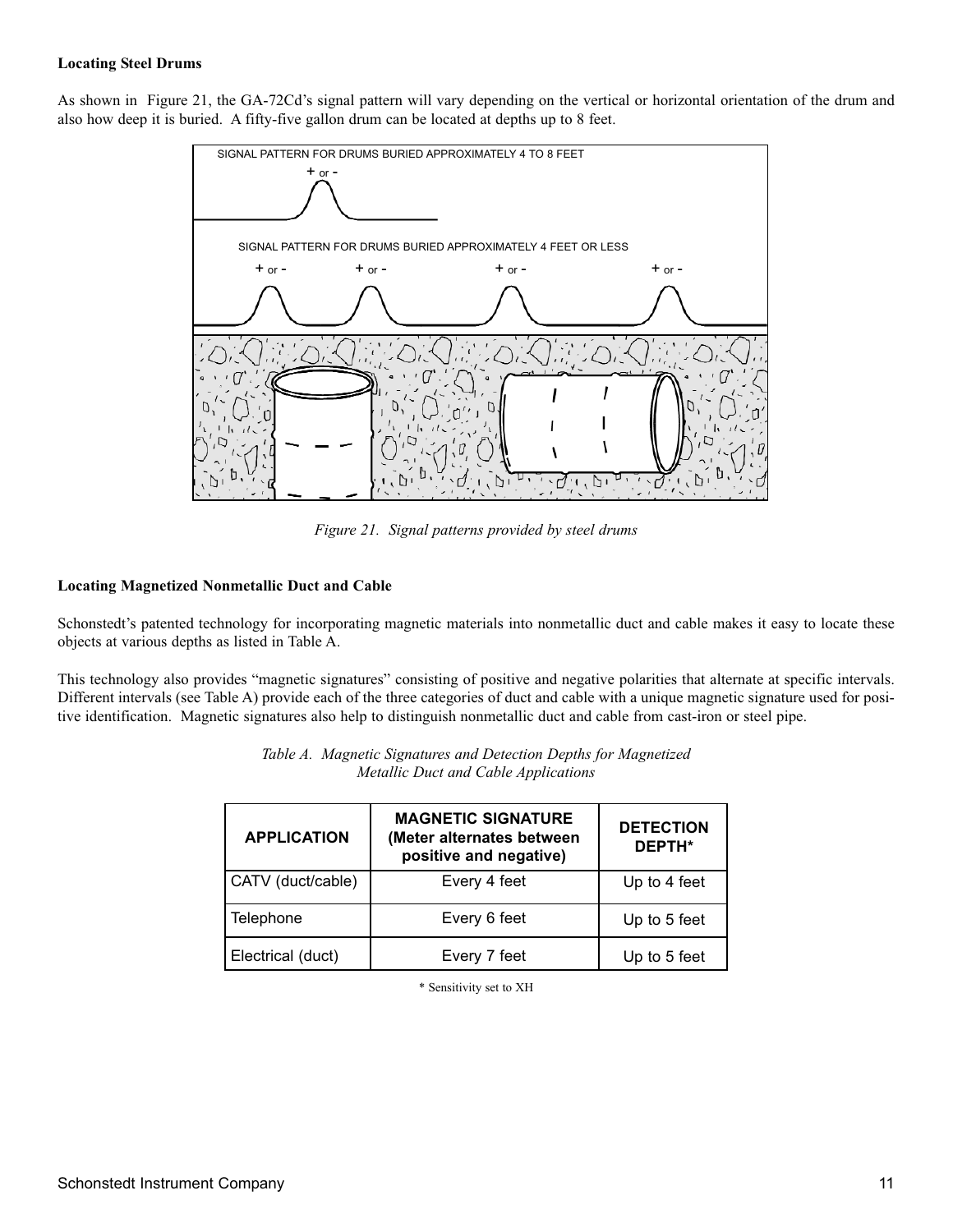#### **Locating Steel Drums**

As shown in Figure 21, the GA-72Cd's signal pattern will vary depending on the vertical or horizontal orientation of the drum and also how deep it is buried. A fifty-five gallon drum can be located at depths up to 8 feet.



*Figure 21. Signal patterns provided by steel drums*

#### **Locating Magnetized Nonmetallic Duct and Cable**

Schonstedt's patented technology for incorporating magnetic materials into nonmetallic duct and cable makes it easy to locate these objects at various depths as listed in Table A.

This technology also provides "magnetic signatures" consisting of positive and negative polarities that alternate at specific intervals. Different intervals (see Table A) provide each of the three categories of duct and cable with a unique magnetic signature used for positive identification. Magnetic signatures also help to distinguish nonmetallic duct and cable from cast-iron or steel pipe.

| <b>APPLICATION</b> | <b>MAGNETIC SIGNATURE</b><br>(Meter alternates between<br>positive and negative) | <b>DETECTION</b><br>DEPTH* |
|--------------------|----------------------------------------------------------------------------------|----------------------------|
| CATV (duct/cable)  | Every 4 feet                                                                     | Up to 4 feet               |
| Telephone          | Every 6 feet                                                                     | Up to 5 feet               |
| Electrical (duct)  | Every 7 feet                                                                     | Up to 5 feet               |

| Table A. Magnetic Signatures and Detection Depths for Magnetized |
|------------------------------------------------------------------|
| Metallic Duct and Cable Applications                             |

\* Sensitivity set to XH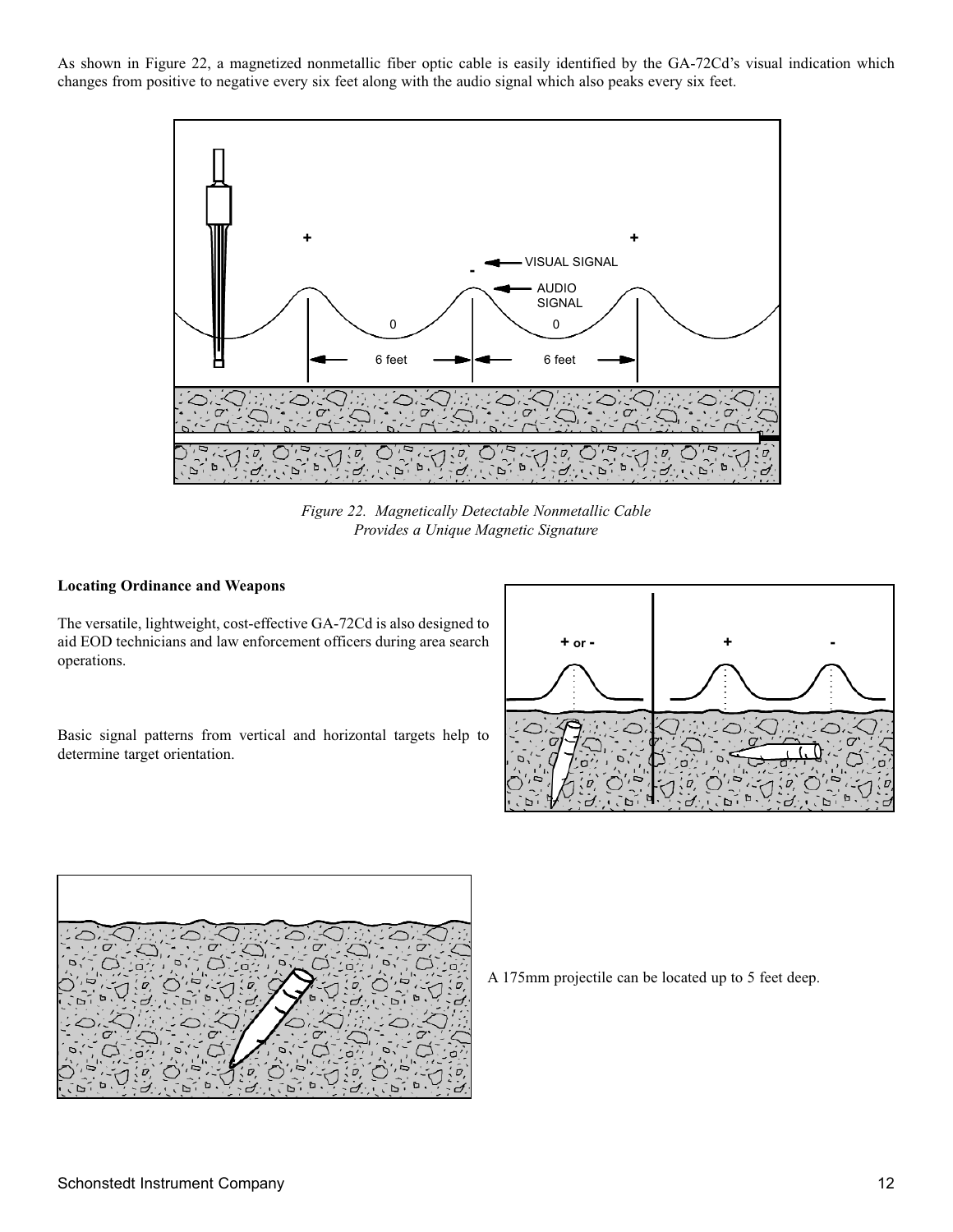As shown in Figure 22, a magnetized nonmetallic fiber optic cable is easily identified by the GA-72Cd's visual indication which changes from positive to negative every six feet along with the audio signal which also peaks every six feet.



*Figure 22. Magnetically Detectable Nonmetallic Cable Provides a Unique Magnetic Signature*

#### **Locating Ordinance and Weapons**

The versatile, lightweight, cost-effective GA-72Cd is also designed to aid EOD technicians and law enforcement officers during area search operations.

Basic signal patterns from vertical and horizontal targets help to determine target orientation.





A 175mm projectile can be located up to 5 feet deep.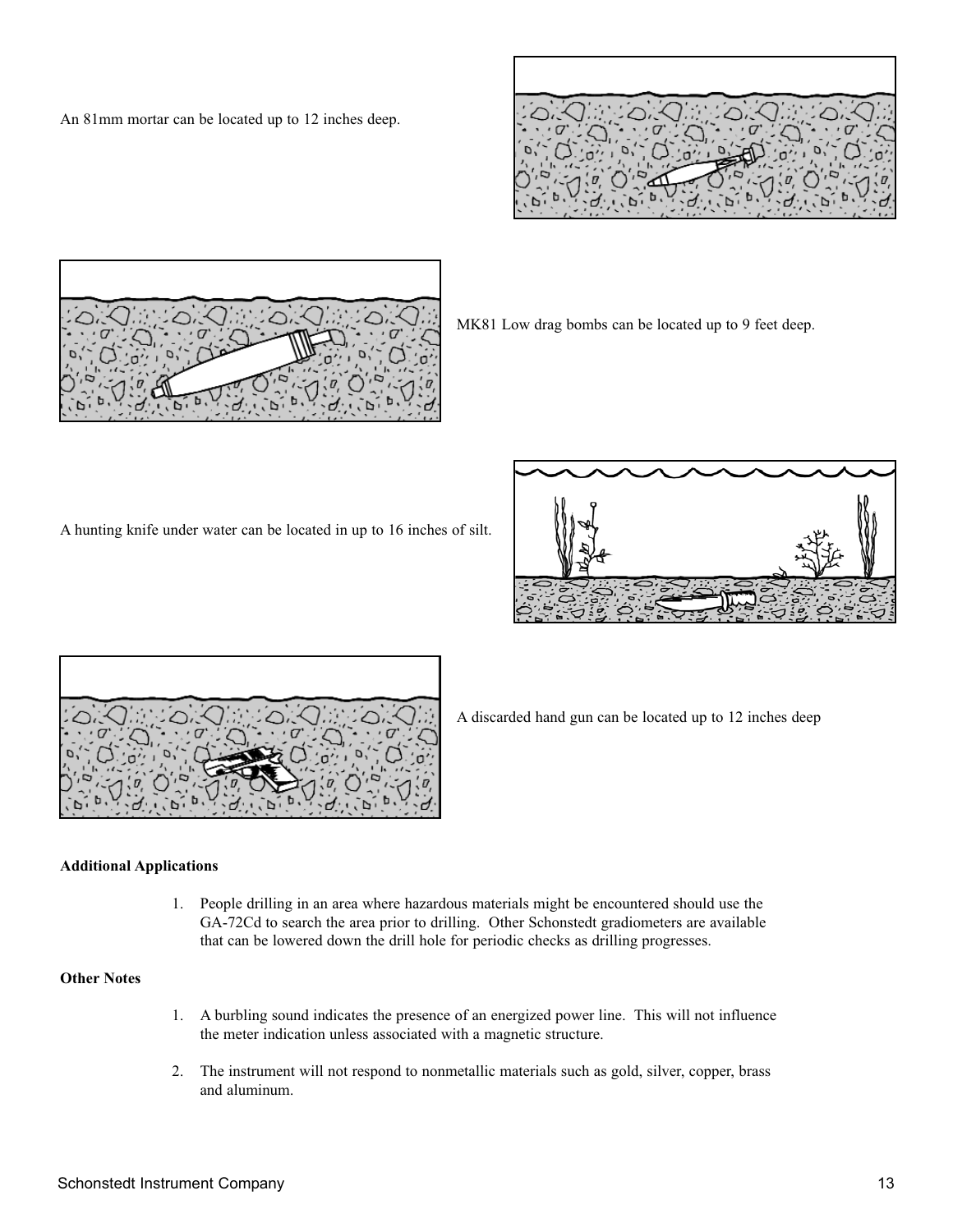An 81mm mortar can be located up to 12 inches deep.





MK81 Low drag bombs can be located up to 9 feet deep.

A hunting knife under water can be located in up to 16 inches of silt.





A discarded hand gun can be located up to 12 inches deep

#### **Additional Applications**

1. People drilling in an area where hazardous materials might be encountered should use the GA-72Cd to search the area prior to drilling. Other Schonstedt gradiometers are available that can be lowered down the drill hole for periodic checks as drilling progresses.

#### **Other Notes**

- 1. A burbling sound indicates the presence of an energized power line. This will not influence the meter indication unless associated with a magnetic structure.
- 2. The instrument will not respond to nonmetallic materials such as gold, silver, copper, brass and aluminum.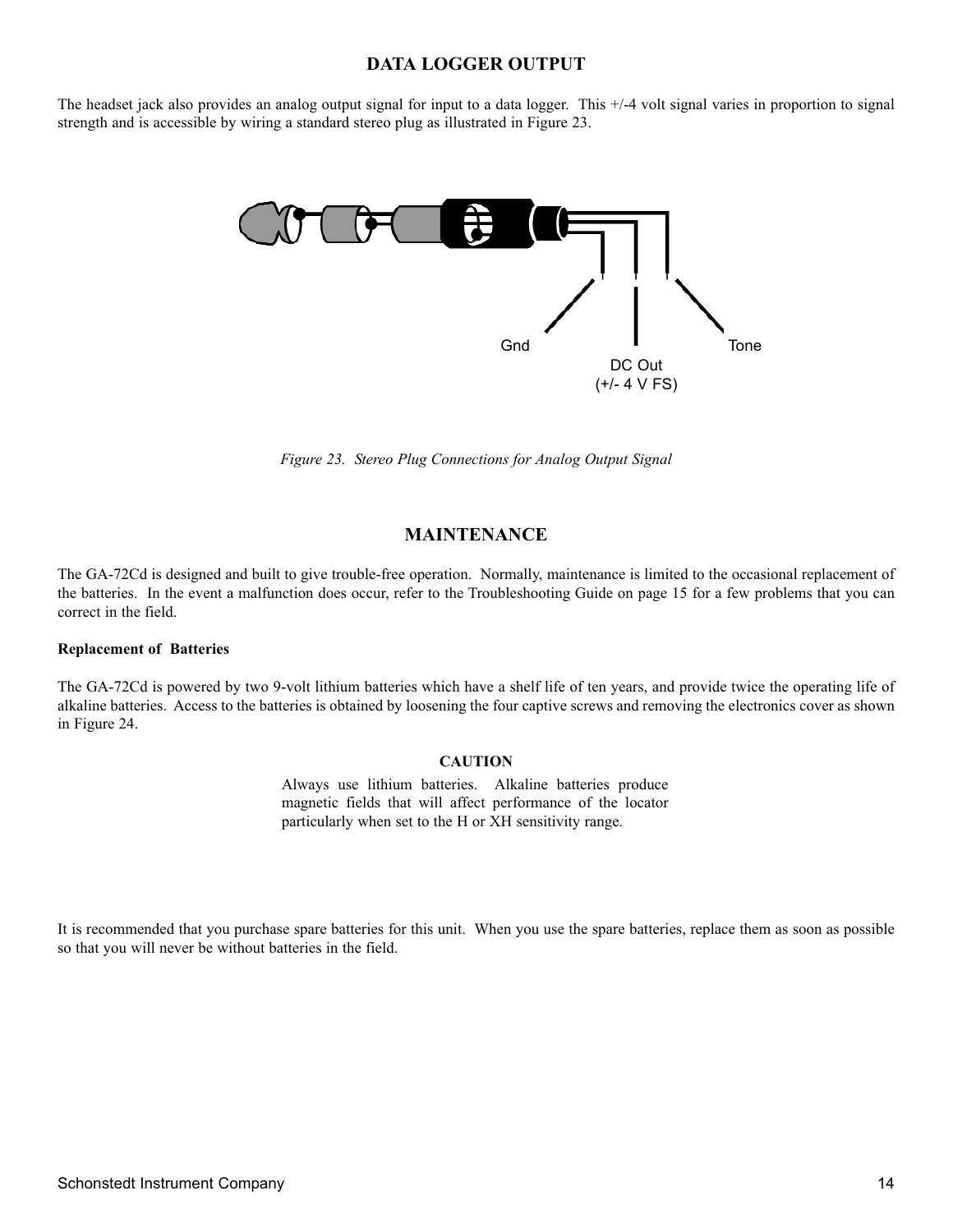#### **DATA LOGGER OUTPUT**

The headset jack also provides an analog output signal for input to a data logger. This +/-4 volt signal varies in proportion to signal strength and is accessible by wiring a standard stereo plug as illustrated in Figure 23.



*Figure 23. Stereo Plug Connections for Analog Output Signal*

#### **MAINTENANCE**

The GA-72Cd is designed and built to give trouble-free operation. Normally, maintenance is limited to the occasional replacement of the batteries. In the event a malfunction does occur, refer to the Troubleshooting Guide on page 15 for a few problems that you can correct in the field.

#### **Replacement of Batteries**

The GA-72Cd is powered by two 9-volt lithium batteries which have a shelf life of ten years, and provide twice the operating life of alkaline batteries. Access to the batteries is obtained by loosening the four captive screws and removing the electronics cover as shown in Figure 24.

#### **CAUTION**

Always use lithium batteries. Alkaline batteries produce magnetic fields that will affect performance of the locator particularly when set to the H or XH sensitivity range.

It is recommended that you purchase spare batteries for this unit. When you use the spare batteries, replace them as soon as possible so that you will never be without batteries in the field.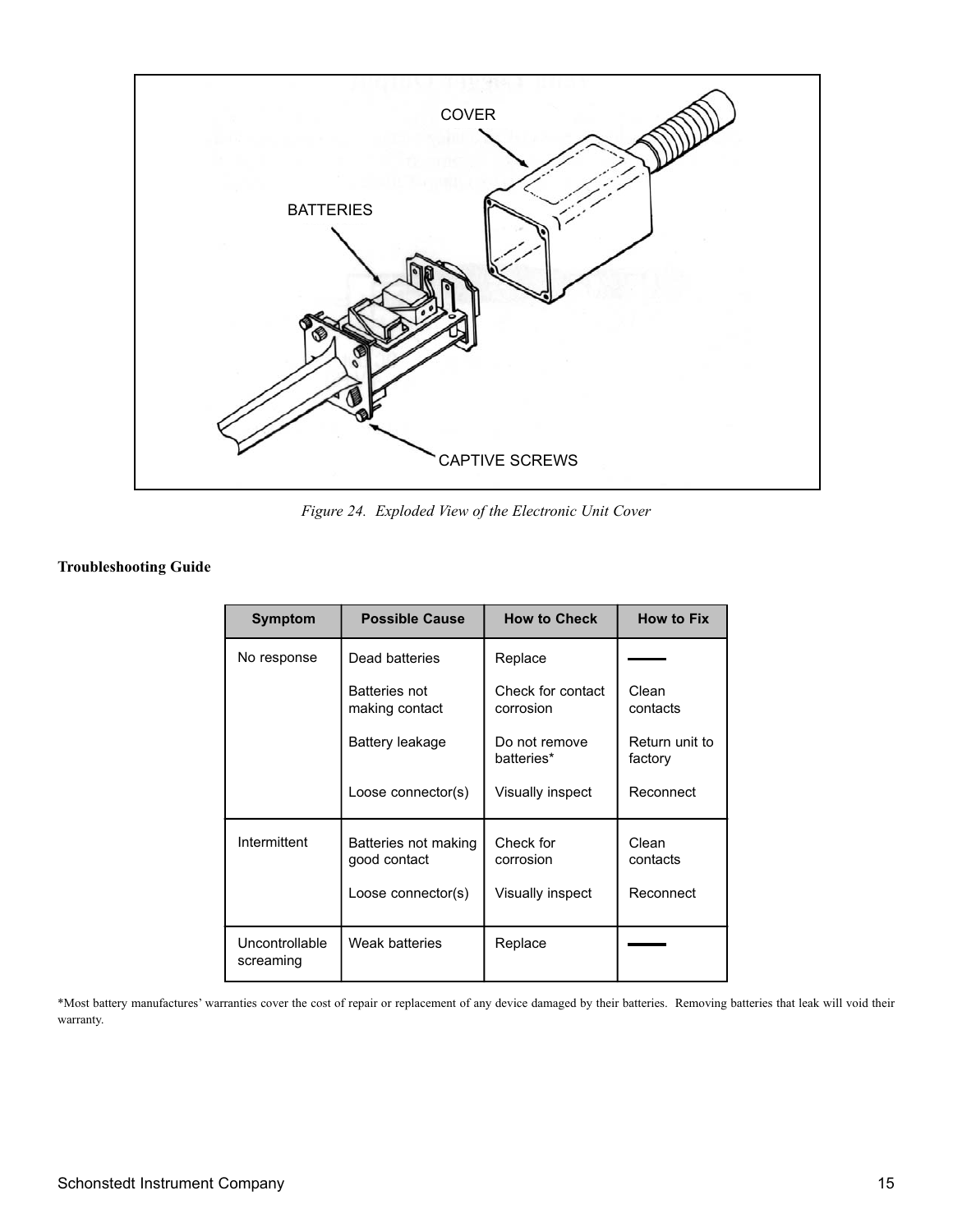

*Figure 24. Exploded View of the Electronic Unit Cover*

#### **Troubleshooting Guide**

| Symptom                     | <b>Possible Cause</b>                                      | <b>How to Check</b>                        | <b>How to Fix</b>              |
|-----------------------------|------------------------------------------------------------|--------------------------------------------|--------------------------------|
| No response                 | Dead batteries                                             | Replace                                    |                                |
|                             | <b>Batteries not</b><br>making contact                     | Check for contact<br>corrosion             | Clean<br>contacts              |
|                             | Battery leakage                                            | Do not remove<br>batteries*                | Return unit to<br>factory      |
|                             | Loose connector(s)                                         | Visually inspect                           | Reconnect                      |
| Intermittent                | Batteries not making<br>good contact<br>Loose connector(s) | Check for<br>corrosion<br>Visually inspect | Clean<br>contacts<br>Reconnect |
|                             |                                                            |                                            |                                |
| Uncontrollable<br>screaming | Weak batteries                                             | Replace                                    |                                |

\*Most battery manufactures' warranties cover the cost of repair or replacement of any device damaged by their batteries. Removing batteries that leak will void their warranty.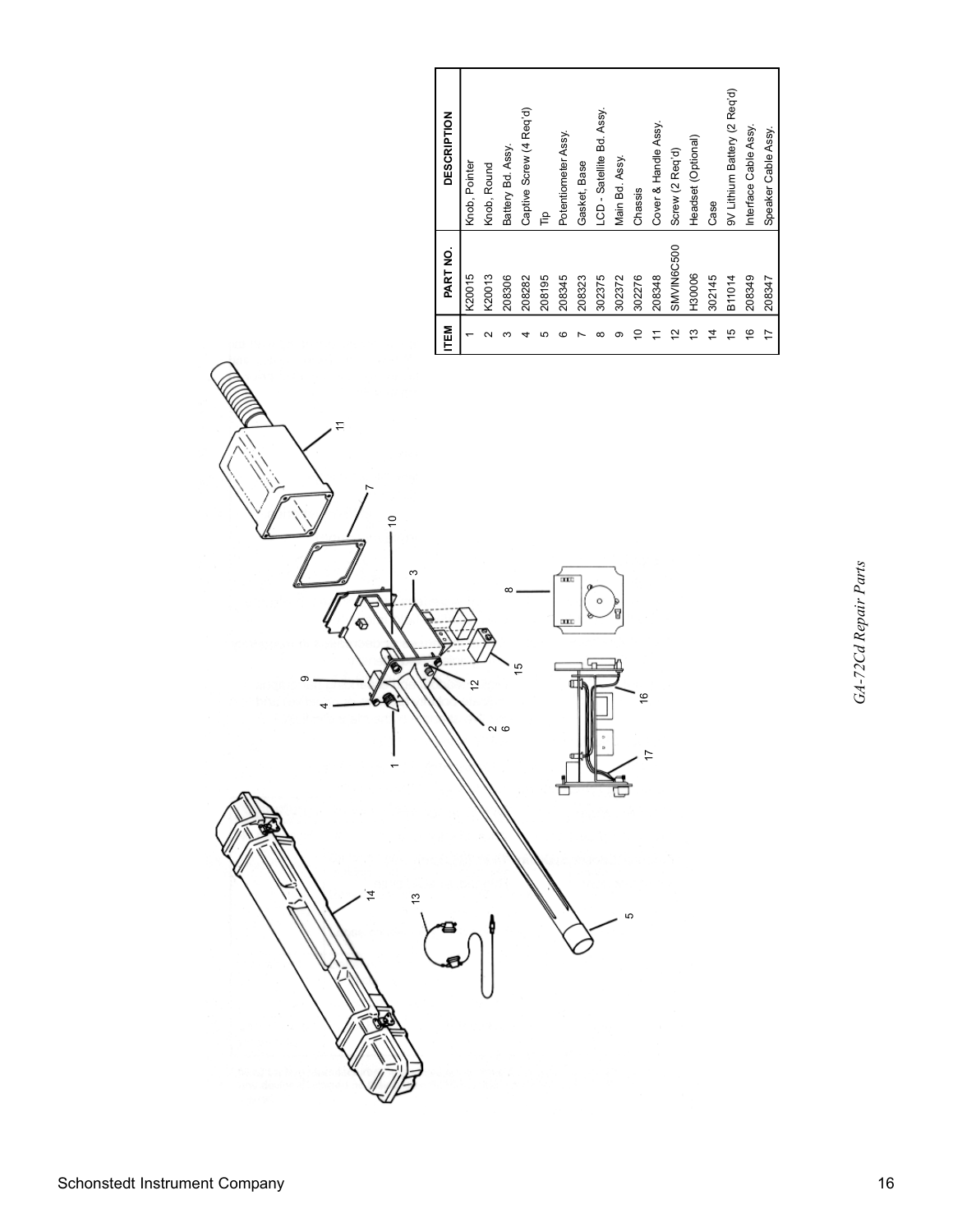| TEM | PART NO.   | <b>DESCRIPTION</b>           |
|-----|------------|------------------------------|
|     | K20015     | Knob, Pointer                |
|     | K20013     | Knob, Round                  |
|     | 208306     | Battery Bd. Assy.            |
|     | 208282     | Captive Screw (4 Req'd)      |
|     | 208195     | ਵੈ                           |
| ٬   | 208345     | Potentiometer Assy.          |
|     | 208323     | Gasket, Base                 |
| ∞   | 302375     | LCD - Satellite Bd. Assy.    |
| ന   | 302372     | Main Bd. Assy.               |
|     | 302276     | Chassis                      |
|     | 208348     | Cover & Handle Assy.         |
| 5   | SMVIN6C500 | Screw (2 Req'd)              |
| ల   | H30006     | Headset (Optional)           |
| 4   | 302145     | Case                         |
| 45  | B11014     | 9V Lithium Battery (2 Req'd) |
| 9   | 208349     | Interface Cable Assy.        |
| 17  | 208347     | Speaker Cable Assy.          |

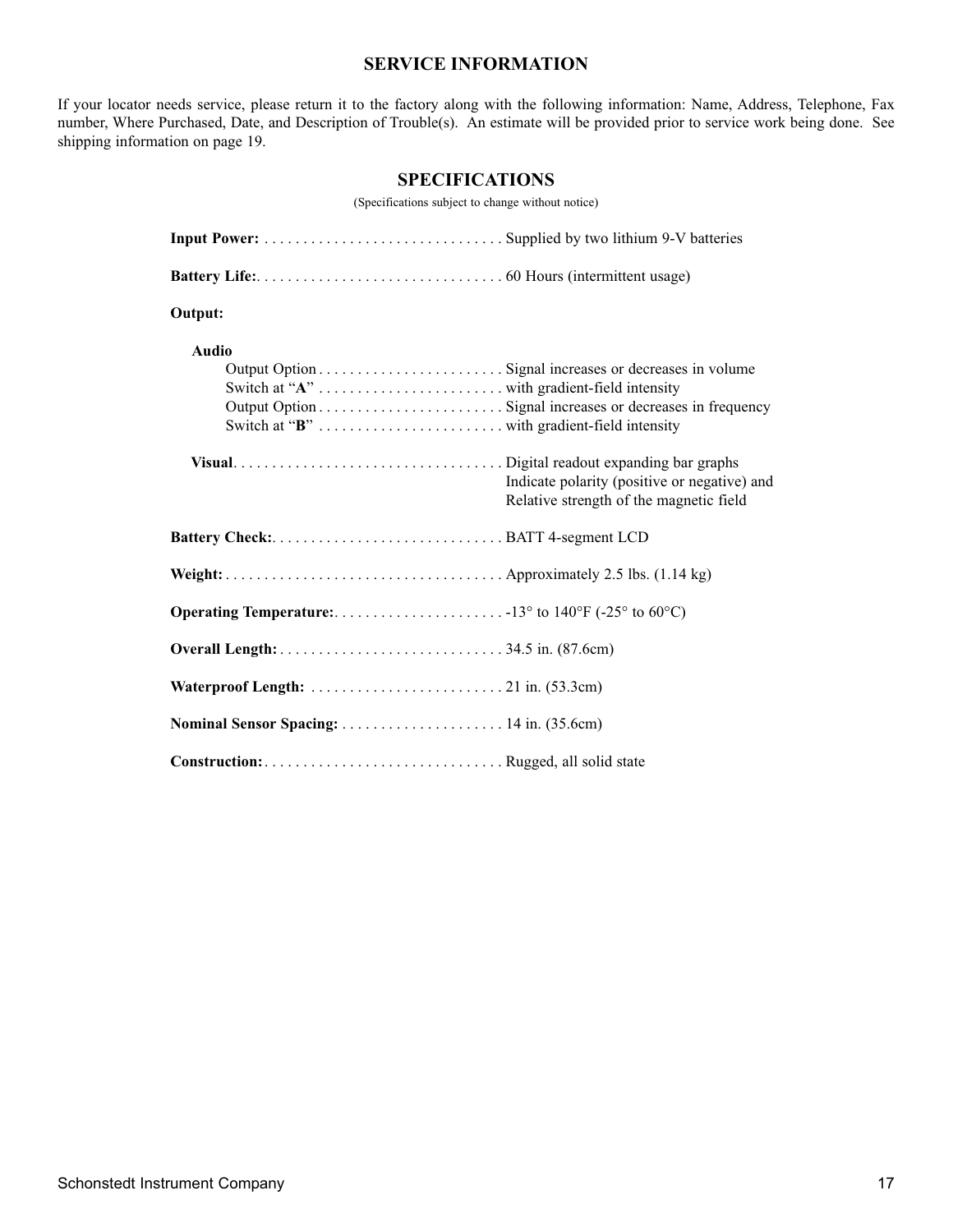### **SERVICE INFORMATION**

If your locator needs service, please return it to the factory along with the following information: Name, Address, Telephone, Fax number, Where Purchased, Date, and Description of Trouble(s). An estimate will be provided prior to service work being done. See shipping information on page 19.

### **SPECIFICATIONS**

(Specifications subject to change without notice)

| Output:      |                                                                                         |
|--------------|-----------------------------------------------------------------------------------------|
| <b>Audio</b> |                                                                                         |
|              | Indicate polarity (positive or negative) and<br>Relative strength of the magnetic field |
|              |                                                                                         |
|              |                                                                                         |
|              |                                                                                         |
|              |                                                                                         |
|              |                                                                                         |
|              |                                                                                         |
|              |                                                                                         |